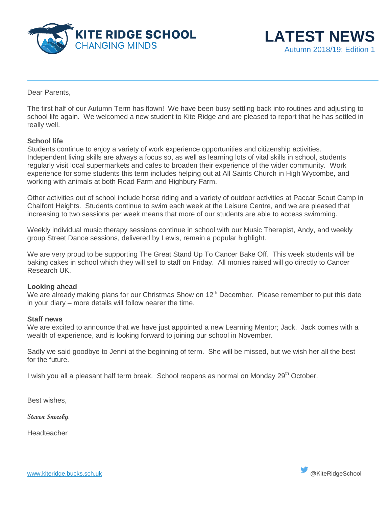



Dear Parents,

The first half of our Autumn Term has flown! We have been busy settling back into routines and adjusting to school life again. We welcomed a new student to Kite Ridge and are pleased to report that he has settled in really well.

## **School life**

Students continue to enjoy a variety of work experience opportunities and citizenship activities. Independent living skills are always a focus so, as well as learning lots of vital skills in school, students regularly visit local supermarkets and cafes to broaden their experience of the wider community. Work experience for some students this term includes helping out at All Saints Church in High Wycombe, and working with animals at both Road Farm and Highbury Farm.

Other activities out of school include horse riding and a variety of outdoor activities at Paccar Scout Camp in Chalfont Heights. Students continue to swim each week at the Leisure Centre, and we are pleased that increasing to two sessions per week means that more of our students are able to access swimming.

Weekly individual music therapy sessions continue in school with our Music Therapist, Andy, and weekly group Street Dance sessions, delivered by Lewis, remain a popular highlight.

We are very proud to be supporting The Great Stand Up To Cancer Bake Off. This week students will be baking cakes in school which they will sell to staff on Friday. All monies raised will go directly to Cancer Research UK.

## **Looking ahead**

We are already making plans for our Christmas Show on  $12<sup>th</sup>$  December. Please remember to put this date in your diary – more details will follow nearer the time.

#### **Staff news**

We are excited to announce that we have just appointed a new Learning Mentor; Jack. Jack comes with a wealth of experience, and is looking forward to joining our school in November.

Sadly we said goodbye to Jenni at the beginning of term. She will be missed, but we wish her all the best for the future.

I wish you all a pleasant half term break. School reopens as normal on Monday 29<sup>th</sup> October.

Best wishes,

**Steven Sneesby**

Headteacher